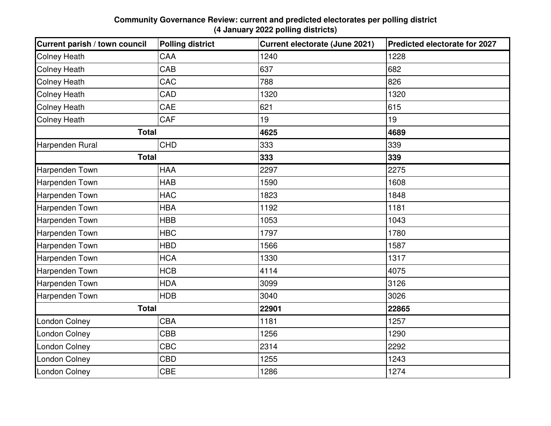## **Community Governance Review: current and predicted electorates per polling district (4 January 2022 polling districts)**

| Current parish / town council | <b>Polling district</b> | <b>Current electorate (June 2021)</b> | Predicted electorate for 2027 |
|-------------------------------|-------------------------|---------------------------------------|-------------------------------|
| <b>Colney Heath</b>           | CAA                     | 1240                                  | 1228                          |
| <b>Colney Heath</b>           | CAB                     | 637                                   | 682                           |
| <b>Colney Heath</b>           | CAC                     | 788                                   | 826                           |
| <b>Colney Heath</b>           | CAD                     | 1320                                  | 1320                          |
| <b>Colney Heath</b>           | CAE                     | 621                                   | 615                           |
| <b>Colney Heath</b>           | CAF                     | 19                                    | 19                            |
| <b>Total</b>                  |                         | 4625                                  | 4689                          |
| Harpenden Rural               | <b>CHD</b>              | 333                                   | 339                           |
| <b>Total</b>                  |                         | 333                                   | 339                           |
| Harpenden Town                | <b>HAA</b>              | 2297                                  | 2275                          |
| Harpenden Town                | <b>HAB</b>              | 1590                                  | 1608                          |
| Harpenden Town                | <b>HAC</b>              | 1823                                  | 1848                          |
| Harpenden Town                | <b>HBA</b>              | 1192                                  | 1181                          |
| Harpenden Town                | <b>HBB</b>              | 1053                                  | 1043                          |
| Harpenden Town                | <b>HBC</b>              | 1797                                  | 1780                          |
| Harpenden Town                | <b>HBD</b>              | 1566                                  | 1587                          |
| Harpenden Town                | <b>HCA</b>              | 1330                                  | 1317                          |
| Harpenden Town                | <b>HCB</b>              | 4114                                  | 4075                          |
| Harpenden Town                | <b>HDA</b>              | 3099                                  | 3126                          |
| Harpenden Town                | <b>HDB</b>              | 3040                                  | 3026                          |
| <b>Total</b>                  |                         | 22901                                 | 22865                         |
| <b>London Colney</b>          | CBA                     | 1181                                  | 1257                          |
| <b>London Colney</b>          | <b>CBB</b>              | 1256                                  | 1290                          |
| London Colney                 | CBC                     | 2314                                  | 2292                          |
| London Colney                 | <b>CBD</b>              | 1255                                  | 1243                          |
| London Colney                 | <b>CBE</b>              | 1286                                  | 1274                          |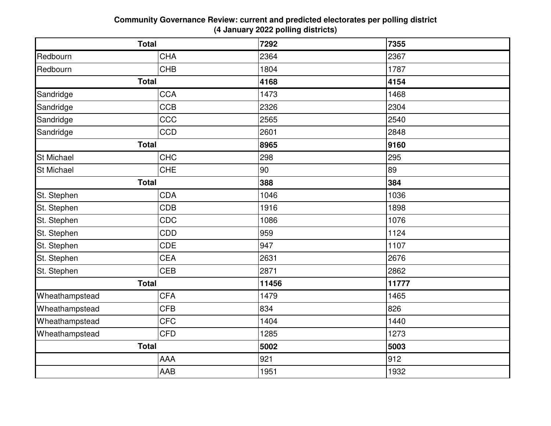## **Community Governance Review: current and predicted electorates per polling district (4 January 2022 polling districts)**

| <b>Total</b>      |            | 7292  | 7355  |
|-------------------|------------|-------|-------|
| Redbourn          | <b>CHA</b> | 2364  | 2367  |
| Redbourn          | <b>CHB</b> | 1804  | 1787  |
| <b>Total</b>      |            | 4168  | 4154  |
| Sandridge         | <b>CCA</b> | 1473  | 1468  |
| Sandridge         | <b>CCB</b> | 2326  | 2304  |
| Sandridge         | CCC        | 2565  | 2540  |
| Sandridge         | <b>CCD</b> | 2601  | 2848  |
| <b>Total</b>      |            | 8965  | 9160  |
| <b>St Michael</b> | <b>CHC</b> | 298   | 295   |
| <b>St Michael</b> | <b>CHE</b> | 90    | 89    |
| <b>Total</b>      |            | 388   | 384   |
| St. Stephen       | <b>CDA</b> | 1046  | 1036  |
| St. Stephen       | <b>CDB</b> | 1916  | 1898  |
| St. Stephen       | CDC        | 1086  | 1076  |
| St. Stephen       | CDD        | 959   | 1124  |
| St. Stephen       | <b>CDE</b> | 947   | 1107  |
| St. Stephen       | <b>CEA</b> | 2631  | 2676  |
| St. Stephen       | <b>CEB</b> | 2871  | 2862  |
| <b>Total</b>      |            | 11456 | 11777 |
| Wheathampstead    | <b>CFA</b> | 1479  | 1465  |
| Wheathampstead    | <b>CFB</b> | 834   | 826   |
| Wheathampstead    | <b>CFC</b> | 1404  | 1440  |
| Wheathampstead    | <b>CFD</b> | 1285  | 1273  |
| <b>Total</b>      |            | 5002  | 5003  |
|                   | AAA        | 921   | 912   |
|                   | AAB        | 1951  | 1932  |